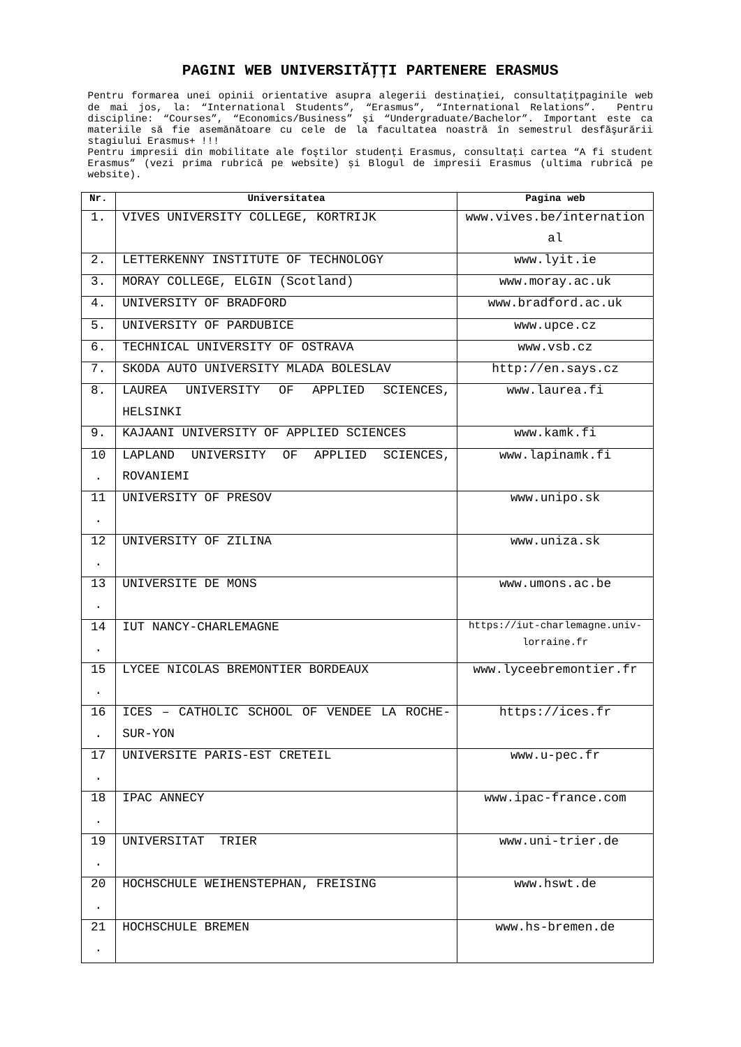## **PAGINI WEB UNIVERSITĂŢȚI PARTENERE ERASMUS**

Pentru formarea unei opinii orientative asupra alegerii destinației, consultațiţpaginile web de mai jos, la: "International Students", "Erasmus", "International Relations". Pentru discipline: "Courses", "Economics/Business" şi "Undergraduate/Bachelor". Important este ca materiile să fie asemănătoare cu cele de la facultatea noastră în semestrul desfăşurării stagiului Erasmus+ !!!

Pentru impresii din mobilitate ale foştilor studenți Erasmus, consultați cartea "A fi student Erasmus" (vezi prima rubrică pe website) și Blogul de impresii Erasmus (ultima rubrică pe website).

| Nr.                  | Universitatea                                                         | Pagina web                                   |
|----------------------|-----------------------------------------------------------------------|----------------------------------------------|
| 1.                   | VIVES UNIVERSITY COLLEGE, KORTRIJK                                    | www.vives.be/internation                     |
|                      |                                                                       | al                                           |
| 2.                   | LETTERKENNY INSTITUTE OF TECHNOLOGY                                   | www.lyit.ie                                  |
| $\overline{3}$ .     | MORAY COLLEGE, ELGIN (Scotland)                                       | www.moray.ac.uk                              |
| 4.                   | UNIVERSITY OF BRADFORD                                                | www.bradford.ac.uk                           |
| $\overline{5}$ .     | UNIVERSITY OF PARDUBICE                                               | www.upce.cz                                  |
| 6.                   | TECHNICAL UNIVERSITY OF OSTRAVA                                       | www.vsb.cz                                   |
| 7.                   | SKODA AUTO UNIVERSITY MLADA BOLESLAV                                  | http://en.says.cz                            |
| 8.                   | <b>LAUREA</b><br>UNIVERSITY<br>OF<br>APPLIED<br>SCIENCES,<br>HELSINKI | www.laurea.fi                                |
| 9.                   | KAJAANI UNIVERSITY OF APPLIED SCIENCES                                | www.kamk.fi                                  |
| 10<br>÷.             | LAPLAND UNIVERSITY OF APPLIED<br>SCIENCES,<br>ROVANIEMI               | www.lapinamk.fi                              |
| 11<br>$\mathbf{r}$ . | UNIVERSITY OF PRESOV                                                  | www.unipo.sk                                 |
| 12<br>$\blacksquare$ | UNIVERSITY OF ZILINA                                                  | www.uniza.sk                                 |
| 13<br>$\blacksquare$ | UNIVERSITE DE MONS                                                    | www.umons.ac.be                              |
| 14<br>$\blacksquare$ | IUT NANCY-CHARLEMAGNE                                                 | https://iut-charlemagne.univ-<br>lorraine.fr |
| 15<br>$\blacksquare$ | LYCEE NICOLAS BREMONTIER BORDEAUX                                     | www.lyceebremontier.fr                       |
| 16                   | ICES - CATHOLIC SCHOOL OF VENDEE LA ROCHE-<br>SUR-YON                 | https://ices.fr                              |
| 17                   | UNIVERSITE PARIS-EST CRETEIL                                          | www.u-pec.fr                                 |
| 18<br>$\blacksquare$ | <b>IPAC ANNECY</b>                                                    | www.ipac-france.com                          |
| 19<br>٠              | UNIVERSITAT TRIER                                                     | www.uni-trier.de                             |
| 20<br>$\blacksquare$ | HOCHSCHULE WEIHENSTEPHAN, FREISING                                    | www.hswt.de                                  |
| 21                   | HOCHSCHULE BREMEN                                                     | www.hs-bremen.de                             |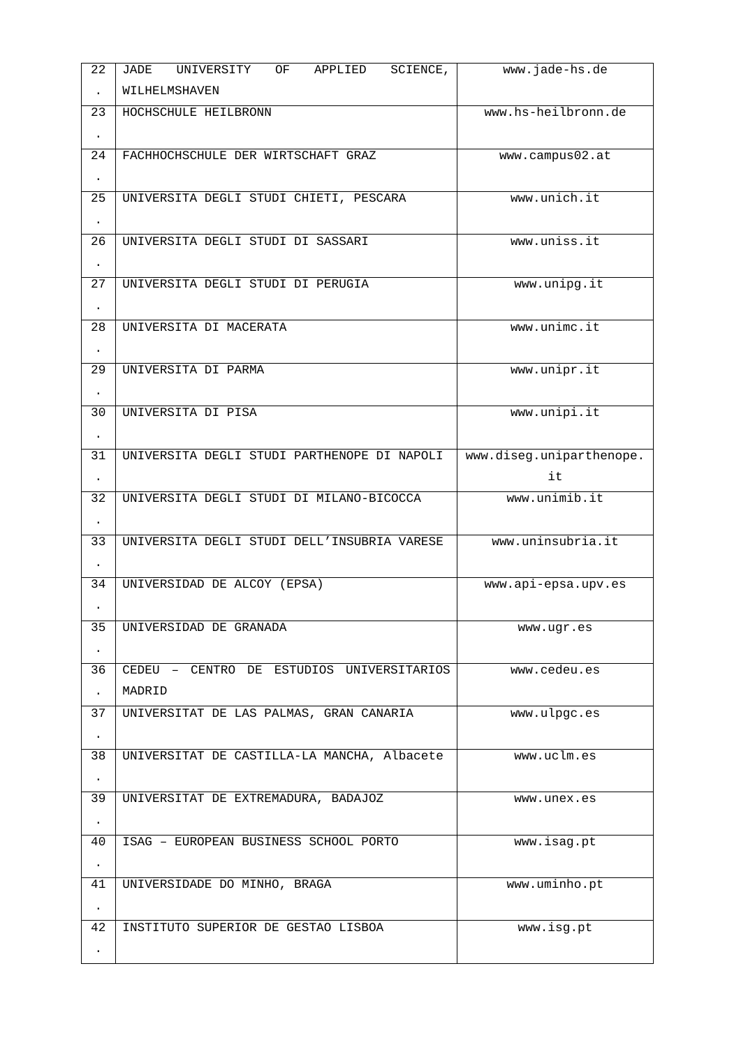| 22                    | <b>JADE</b><br>UNIVERSITY<br>APPLIED<br>SCIENCE,<br>0F | www.jade-hs.de           |
|-----------------------|--------------------------------------------------------|--------------------------|
| ¥.                    | WILHELMSHAVEN                                          |                          |
| 23                    | HOCHSCHULE HEILBRONN                                   | www.hs-heilbronn.de      |
| $\blacksquare$        |                                                        |                          |
| 24                    | FACHHOCHSCHULE DER WIRTSCHAFT GRAZ                     | www.campus02.at          |
|                       |                                                        |                          |
| 25                    | UNIVERSITA DEGLI STUDI CHIETI, PESCARA                 | www.unich.it             |
| $\blacksquare$        |                                                        |                          |
| 26                    | UNIVERSITA DEGLI STUDI DI SASSARI                      | www.uniss.it             |
| $\bullet$             |                                                        |                          |
| 27                    | UNIVERSITA DEGLI STUDI DI PERUGIA                      | www.unipg.it             |
| ×.<br>$\overline{28}$ | UNIVERSITA DI MACERATA                                 | www.unimc.it             |
|                       |                                                        |                          |
| $\blacksquare$<br>29  | UNIVERSITA DI PARMA                                    | www.unipr.it             |
| ×.                    |                                                        |                          |
| 30                    | UNIVERSITA DI PISA                                     | www.unipi.it             |
| $\bullet$             |                                                        |                          |
| 31                    | UNIVERSITA DEGLI STUDI PARTHENOPE DI NAPOLI            | www.diseg.uniparthenope. |
| $\mathbf{r}$ .        |                                                        | it                       |
| $\overline{32}$       | UNIVERSITA DEGLI STUDI DI MILANO-BICOCCA               | www.unimib.it            |
| $\blacksquare$        |                                                        |                          |
| 33                    | UNIVERSITA DEGLI STUDI DELL'INSUBRIA VARESE            | www.uninsubria.it        |
| $\blacksquare$        |                                                        |                          |
| 34                    | UNIVERSIDAD DE ALCOY (EPSA)                            | www.api-epsa.upv.es      |
|                       |                                                        |                          |
| 35                    | UNIVERSIDAD DE GRANADA                                 | www.ugr.es               |
| $\blacksquare$        |                                                        |                          |
| $\overline{36}$       | CEDEU - CENTRO DE ESTUDIOS UNIVERSITARIOS              | www.cedeu.es             |
| ä,                    | MADRID                                                 |                          |
| 37                    | UNIVERSITAT DE LAS PALMAS, GRAN CANARIA                | www.ulpgc.es             |
| $\blacksquare$<br>38  | UNIVERSITAT DE CASTILLA-LA MANCHA, Albacete            | www.uclm.es              |
| $\blacksquare$        |                                                        |                          |
| 39                    | UNIVERSITAT DE EXTREMADURA, BADAJOZ                    | www.unex.es              |
| $\blacksquare$        |                                                        |                          |
| 40                    | ISAG - EUROPEAN BUSINESS SCHOOL PORTO                  | www.isag.pt              |
| $\bullet$             |                                                        |                          |
| 41                    | UNIVERSIDADE DO MINHO, BRAGA                           | www.uminho.pt            |
| ×.                    |                                                        |                          |
| 42                    | INSTITUTO SUPERIOR DE GESTAO LISBOA                    | www.isg.pt               |
|                       |                                                        |                          |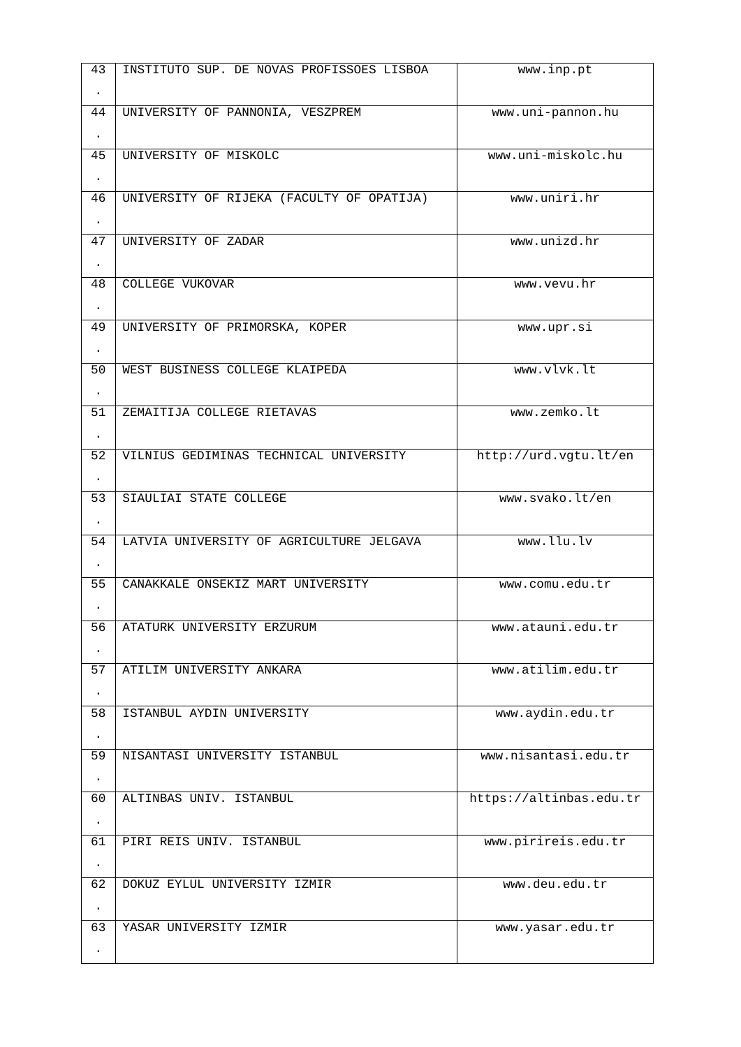| 43              | INSTITUTO SUP, DE NOVAS PROFISSOES LISBOA | www.inp.pt              |
|-----------------|-------------------------------------------|-------------------------|
| $\mathbf{r}$    |                                           |                         |
| 44              | UNIVERSITY OF PANNONIA, VESZPREM          | www.uni-pannon.hu       |
|                 |                                           |                         |
| $\mathbf{r}$ .  |                                           |                         |
| 45              | UNIVERSITY OF MISKOLC                     | www.uni-miskolc.hu      |
| $\blacksquare$  |                                           |                         |
| 46              | UNIVERSITY OF RIJEKA (FACULTY OF OPATIJA) | www.uniri.hr            |
| $\blacksquare$  |                                           |                         |
| 47              | UNIVERSITY OF ZADAR                       | www.unizd.hr            |
| $\blacksquare$  |                                           |                         |
| 48              | <b>COLLEGE VUKOVAR</b>                    | www.vevu.hr             |
|                 |                                           |                         |
| $\mathbf{r}$    |                                           |                         |
| 49              | UNIVERSITY OF PRIMORSKA, KOPER            | www.upr.si              |
| $\bullet$ .     |                                           |                         |
| 50              | WEST BUSINESS COLLEGE KLAIPEDA            | www.vlvk.lt             |
| $\mathbf{r}$    |                                           |                         |
| 51              | ZEMAITIJA COLLEGE RIETAVAS                | www.zemko.lt            |
| $\mathbf{r}$    |                                           |                         |
| $\overline{52}$ | VILNIUS GEDIMINAS TECHNICAL UNIVERSITY    | http://urd.vgtu.lt/en   |
|                 |                                           |                         |
| $\mathbf{r}$ .  |                                           |                         |
| 53              | SIAULIAI STATE COLLEGE                    | www.svako.lt/en         |
| $\bullet$ .     |                                           |                         |
| 54              | LATVIA UNIVERSITY OF AGRICULTURE JELGAVA  | www.llu.lv              |
|                 |                                           |                         |
| 55              | CANAKKALE ONSEKIZ MART UNIVERSITY         | www.comu.edu.tr         |
|                 |                                           |                         |
| 56              | ATATURK UNIVERSITY ERZURUM                | www.atauni.edu.tr       |
|                 |                                           |                         |
| 57              | ATILIM UNIVERSITY ANKARA                  | www.atilim.edu.tr       |
|                 |                                           |                         |
|                 |                                           |                         |
| 58              | ISTANBUL AYDIN UNIVERSITY                 | www.aydin.edu.tr        |
| $\blacksquare$  |                                           |                         |
| 59              | NISANTASI UNIVERSITY ISTANBUL             | www.nisantasi.edu.tr    |
| $\bullet$       |                                           |                         |
| 60              | ALTINBAS UNIV. ISTANBUL                   | https://altinbas.edu.tr |
|                 |                                           |                         |
| $\blacksquare$  | PIRI REIS UNIV. ISTANBUL                  |                         |
| 61              |                                           | www.pirireis.edu.tr     |
| $\blacksquare$  |                                           |                         |
| 62              | DOKUZ EYLUL UNIVERSITY IZMIR              | www.deu.edu.tr          |
| $\blacksquare$  |                                           |                         |
| 63              | YASAR UNIVERSITY IZMIR                    | www.yasar.edu.tr        |
|                 |                                           |                         |
|                 |                                           |                         |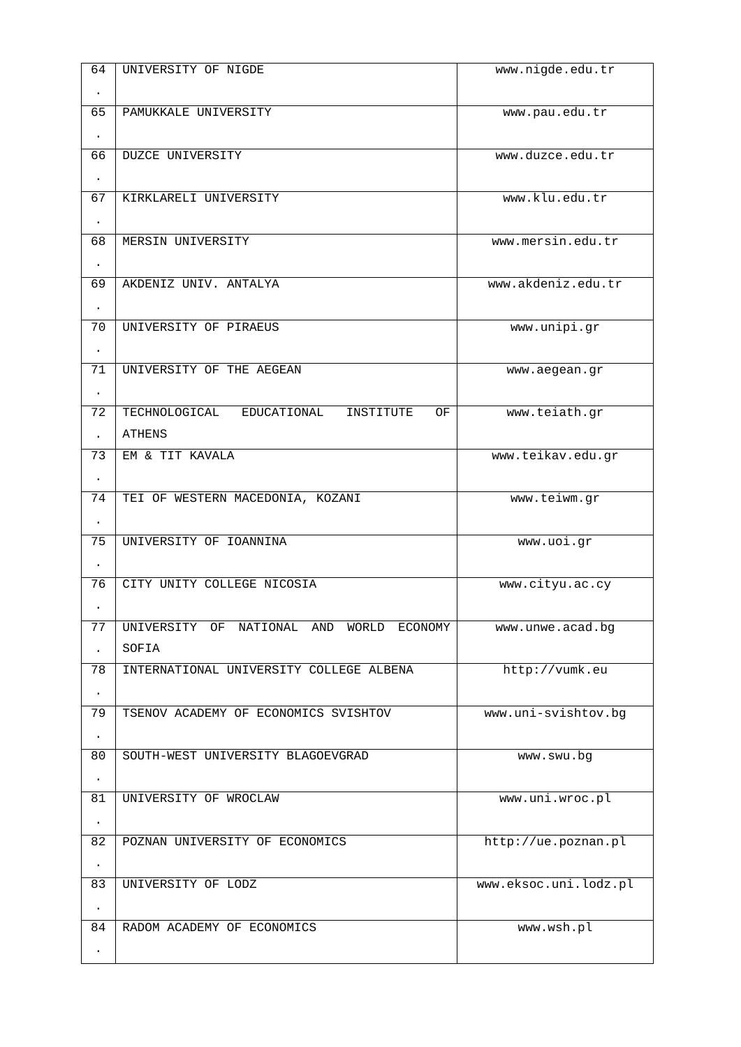| 64              | UNIVERSITY OF NIGDE                                                | www.nigde.edu.tr      |
|-----------------|--------------------------------------------------------------------|-----------------------|
| $\blacksquare$  |                                                                    |                       |
| 65              | PAMUKKALE UNIVERSITY                                               | www.pau.edu.tr        |
|                 |                                                                    |                       |
| $\blacksquare$  |                                                                    |                       |
| 66              | <b>DUZCE UNIVERSITY</b>                                            | www.duzce.edu.tr      |
|                 |                                                                    |                       |
| 67              | KIRKLARELI UNIVERSITY                                              | www.klu.edu.tr        |
| $\blacksquare$  |                                                                    |                       |
| 68              | MERSIN UNIVERSITY                                                  | www.mersin.edu.tr     |
| $\bullet$       |                                                                    |                       |
| 69              | AKDENIZ UNIV. ANTALYA                                              | www.akdeniz.edu.tr    |
|                 |                                                                    |                       |
| $\blacksquare$  |                                                                    |                       |
| 70              | UNIVERSITY OF PIRAEUS                                              | www.unipi.gr          |
| $\bullet$       |                                                                    |                       |
| $\overline{71}$ | UNIVERSITY OF THE AEGEAN                                           | www.aegean.gr         |
| $\blacksquare$  |                                                                    |                       |
| 72              | TECHNOLOGICAL<br>EDUCATIONAL<br><b>INSTITUTE</b><br>0 <sub>F</sub> | www.teiath.gr         |
| ×.              | <b>ATHENS</b>                                                      |                       |
| $\overline{73}$ | EM & TIT KAVALA                                                    | www.teikav.edu.gr     |
|                 |                                                                    |                       |
| $\blacksquare$  |                                                                    |                       |
| 74              | TEI OF WESTERN MACEDONIA, KOZANI                                   | www.teiwm.gr          |
| $\blacksquare$  |                                                                    |                       |
| $\overline{75}$ | UNIVERSITY OF IOANNINA                                             | www.uoi.gr            |
| $\blacksquare$  |                                                                    |                       |
| 76              | CITY UNITY COLLEGE NICOSIA                                         | www.cityu.ac.cy       |
|                 |                                                                    |                       |
| 77              | UNIVERSITY OF NATIONAL AND WORLD ECONOMY                           | www.unwe.acad.bg      |
| ×.              | <b>SOFIA</b>                                                       |                       |
|                 |                                                                    |                       |
| $\overline{78}$ | INTERNATIONAL UNIVERSITY COLLEGE ALBENA                            | http://vumk.eu        |
|                 |                                                                    |                       |
| 79              | TSENOV ACADEMY OF ECONOMICS SVISHTOV                               | www.uni-svishtov.bg   |
| $\bullet$       |                                                                    |                       |
| 80              | SOUTH-WEST UNIVERSITY BLAGOEVGRAD                                  | www.swu.bg            |
| $\blacksquare$  |                                                                    |                       |
| 81              | UNIVERSITY OF WROCLAW                                              | www.uni.wroc.pl       |
|                 |                                                                    |                       |
| $\bullet$       |                                                                    |                       |
| $\overline{82}$ | POZNAN UNIVERSITY OF ECONOMICS                                     | http://ue.poznan.pl   |
| $\bullet$       |                                                                    |                       |
| 83              | UNIVERSITY OF LODZ                                                 | www.eksoc.uni.lodz.pl |
| $\bullet$       |                                                                    |                       |
| 84              | RADOM ACADEMY OF ECONOMICS                                         | www.wsh.pl            |
|                 |                                                                    |                       |
|                 |                                                                    |                       |